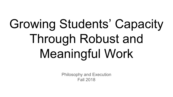# Growing Students' Capacity Through Robust and Meaningful Work

Philosophy and Execution Fall 2018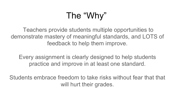## The "Why"

 Teachers provide students multiple opportunities to demonstrate mastery of meaningful standards, and LOTS of feedback to help them improve.

Every assignment is clearly designed to help students practice and improve in at least one standard.

Students embrace freedom to take risks without fear that that will hurt their grades.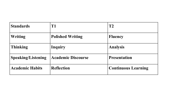| <b>Standards</b>          | <b>T1</b>                 | T <sub>2</sub>             |  |
|---------------------------|---------------------------|----------------------------|--|
| Writing                   | <b>Polished Writing</b>   | <b>Fluency</b>             |  |
| <b>Thinking</b>           | Inquiry                   | <b>Analysis</b>            |  |
| <b>Speaking/Listening</b> | <b>Academic Discourse</b> | <b>Presentation</b>        |  |
| <b>Academic Habits</b>    | <b>Reflection</b>         | <b>Continuous Learning</b> |  |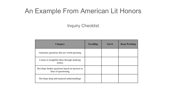## An Example From American Lit Honors

Inquiry Checklist

| Category                                                               | <b>Excelling</b> | <b>Got it</b> | <b>Keep Working</b> |
|------------------------------------------------------------------------|------------------|---------------|---------------------|
| Generates questions that are worth pursuing                            |                  |               |                     |
| Comes to insightful ideas through studying<br>text(s)                  |                  |               |                     |
| Develops further questions based on answers to<br>lines of questioning |                  |               |                     |
| Develops deep and nuanced understandings                               |                  |               |                     |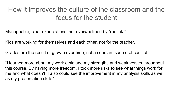## How it improves the culture of the classroom and the focus for the student

Manageable, clear expectations, not overwhelmed by "red ink."

Kids are working for themselves and each other, not for the teacher.

Grades are the result of growth over time, not a constant source of conflict.

"I learned more about my work ethic and my strengths and weaknesses throughout this course. By having more freedom, I took more risks to see what things work for me and what doesn't. I also could see the improvement in my analysis skills as well as my presentation skills"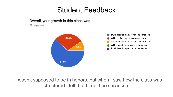## Student Feedback

#### Overall, your growth in this class was

21 responses



"I wasn't supposed to be in honors, but when I saw how the class was structured I felt that I could be successful"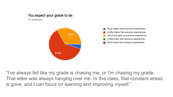#### You expect your grade to be

21 responses



"I've always felt like my grade is chasing me, or I'm chasing my grade. That letter was always hanging over me. In this class, that constant stress is gone, and I can focus on learning and improving myself."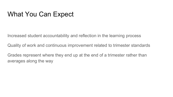## What You Can Expect

Increased student accountability and reflection in the learning process

Quality of work and continuous improvement related to trimester standards

Grades represent where they end up at the end of a trimester rather than averages along the way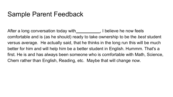## Sample Parent Feedback

After a long conversation today with \_\_\_\_\_\_\_\_\_\_\_\_, I believe he now feels comfortable and is (as he should) ready to take ownership to be the *best* student versus average. He actually said, that he thinks in the long run this will be much better for him and will help him be a better student in English. Hummm. That's a first. He is and has always been someone who is comfortable with Math, Science, Chem rather than English, Reading, etc. Maybe that will change now.